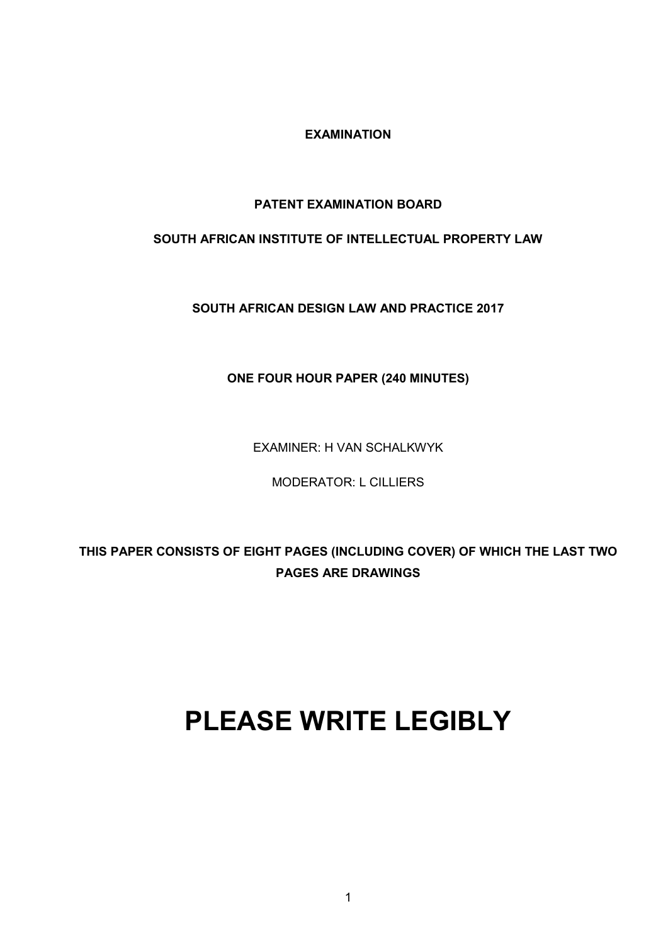**EXAMINATION**

## **PATENT EXAMINATION BOARD**

## **SOUTH AFRICAN INSTITUTE OF INTELLECTUAL PROPERTY LAW**

**SOUTH AFRICAN DESIGN LAW AND PRACTICE 2017**

**ONE FOUR HOUR PAPER (240 MINUTES)**

EXAMINER: H VAN SCHALKWYK

MODERATOR: L CILLIERS

**THIS PAPER CONSISTS OF EIGHT PAGES (INCLUDING COVER) OF WHICH THE LAST TWO PAGES ARE DRAWINGS**

# **PLEASE WRITE LEGIBLY**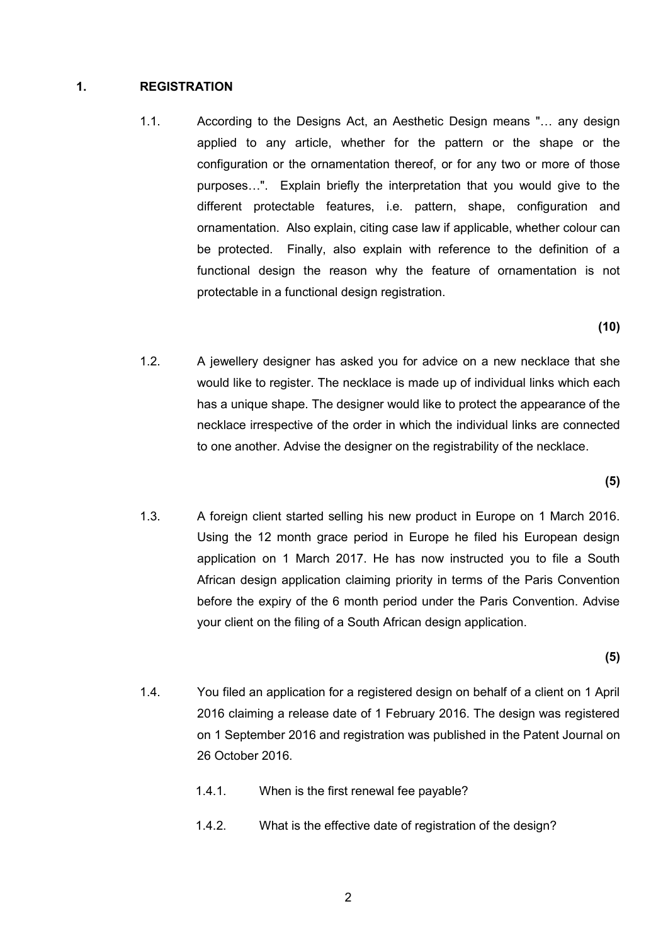### **1. REGISTRATION**

1.1. According to the Designs Act, an Aesthetic Design means "… any design applied to any article, whether for the pattern or the shape or the configuration or the ornamentation thereof, or for any two or more of those purposes…". Explain briefly the interpretation that you would give to the different protectable features, i.e. pattern, shape, configuration and ornamentation. Also explain, citing case law if applicable, whether colour can be protected. Finally, also explain with reference to the definition of a functional design the reason why the feature of ornamentation is not protectable in a functional design registration.

**(10)**

1.2. A jewellery designer has asked you for advice on a new necklace that she would like to register. The necklace is made up of individual links which each has a unique shape. The designer would like to protect the appearance of the necklace irrespective of the order in which the individual links are connected to one another. Advise the designer on the registrability of the necklace.

**(5)**

1.3. A foreign client started selling his new product in Europe on 1 March 2016. Using the 12 month grace period in Europe he filed his European design application on 1 March 2017. He has now instructed you to file a South African design application claiming priority in terms of the Paris Convention before the expiry of the 6 month period under the Paris Convention. Advise your client on the filing of a South African design application.

**(5)**

- 1.4. You filed an application for a registered design on behalf of a client on 1 April 2016 claiming a release date of 1 February 2016. The design was registered on 1 September 2016 and registration was published in the Patent Journal on 26 October 2016.
	- 1.4.1. When is the first renewal fee payable?
	- 1.4.2. What is the effective date of registration of the design?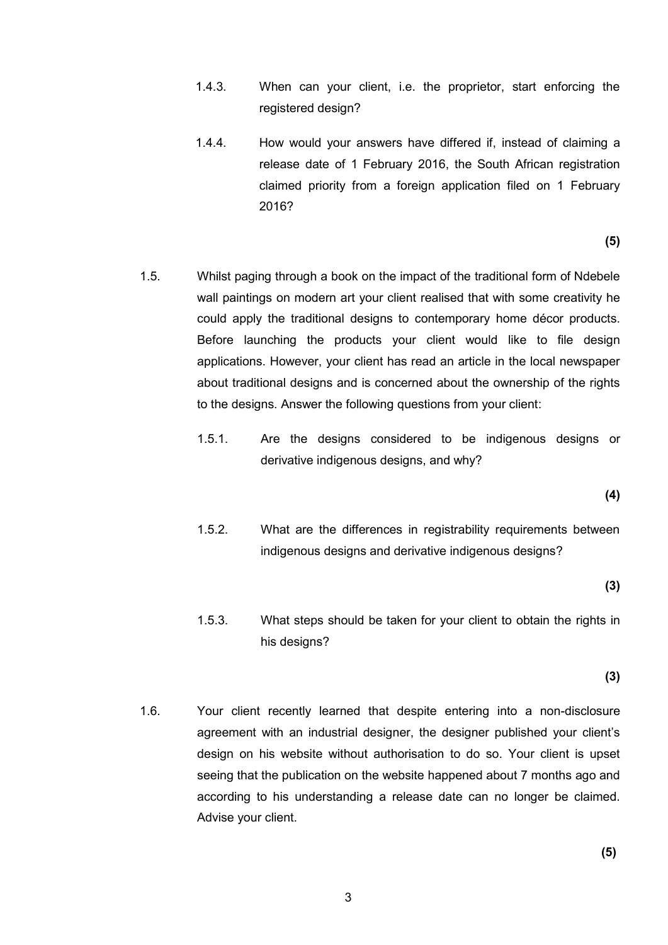- 1.4.3. When can your client, i.e. the proprietor, start enforcing the registered design?
- 1.4.4. How would your answers have differed if, instead of claiming a release date of 1 February 2016, the South African registration claimed priority from a foreign application filed on 1 February 2016?

**(5)**

- 1.5. Whilst paging through a book on the impact of the traditional form of Ndebele wall paintings on modern art your client realised that with some creativity he could apply the traditional designs to contemporary home décor products. Before launching the products your client would like to file design applications. However, your client has read an article in the local newspaper about traditional designs and is concerned about the ownership of the rights to the designs. Answer the following questions from your client:
	- 1.5.1. Are the designs considered to be indigenous designs or derivative indigenous designs, and why?

**(4)**

1.5.2. What are the differences in registrability requirements between indigenous designs and derivative indigenous designs?

**(3)**

1.5.3. What steps should be taken for your client to obtain the rights in his designs?

**(3)**

1.6. Your client recently learned that despite entering into a non-disclosure agreement with an industrial designer, the designer published your client's design on his website without authorisation to do so. Your client is upset seeing that the publication on the website happened about 7 months ago and according to his understanding a release date can no longer be claimed. Advise your client.

**(5)**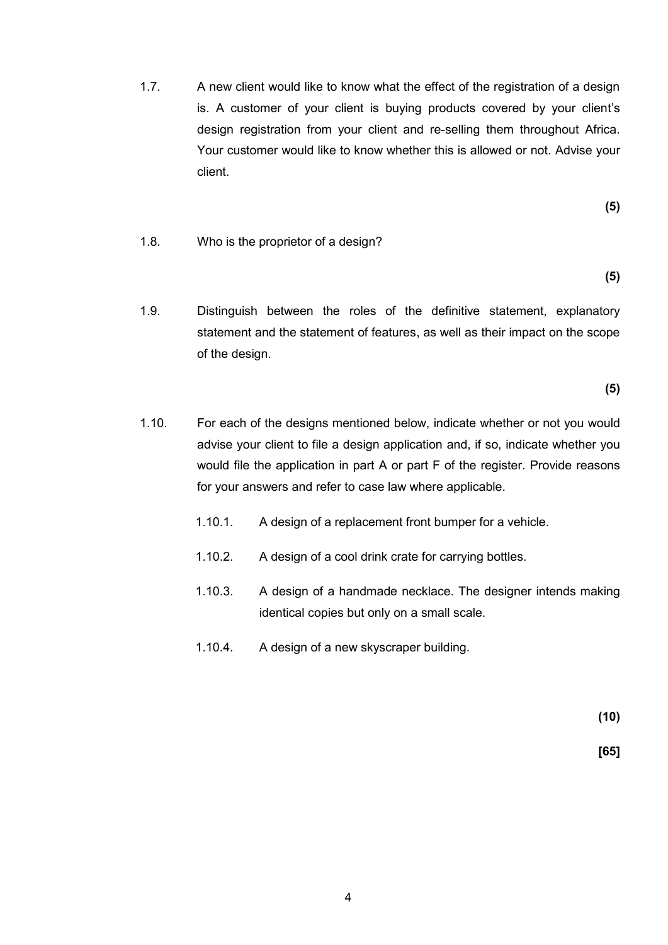1.7. A new client would like to know what the effect of the registration of a design is. A customer of your client is buying products covered by your client's design registration from your client and re-selling them throughout Africa. Your customer would like to know whether this is allowed or not. Advise your client.

**(5)**

1.8. Who is the proprietor of a design?

**(5)**

1.9. Distinguish between the roles of the definitive statement, explanatory statement and the statement of features, as well as their impact on the scope of the design.

**(5)**

- 1.10. For each of the designs mentioned below, indicate whether or not you would advise your client to file a design application and, if so, indicate whether you would file the application in part A or part F of the register. Provide reasons for your answers and refer to case law where applicable.
	- 1.10.1. A design of a replacement front bumper for a vehicle.
	- 1.10.2. A design of a cool drink crate for carrying bottles.
	- 1.10.3. A design of a handmade necklace. The designer intends making identical copies but only on a small scale.
	- 1.10.4. A design of a new skyscraper building.

**(10)**

 **[65]**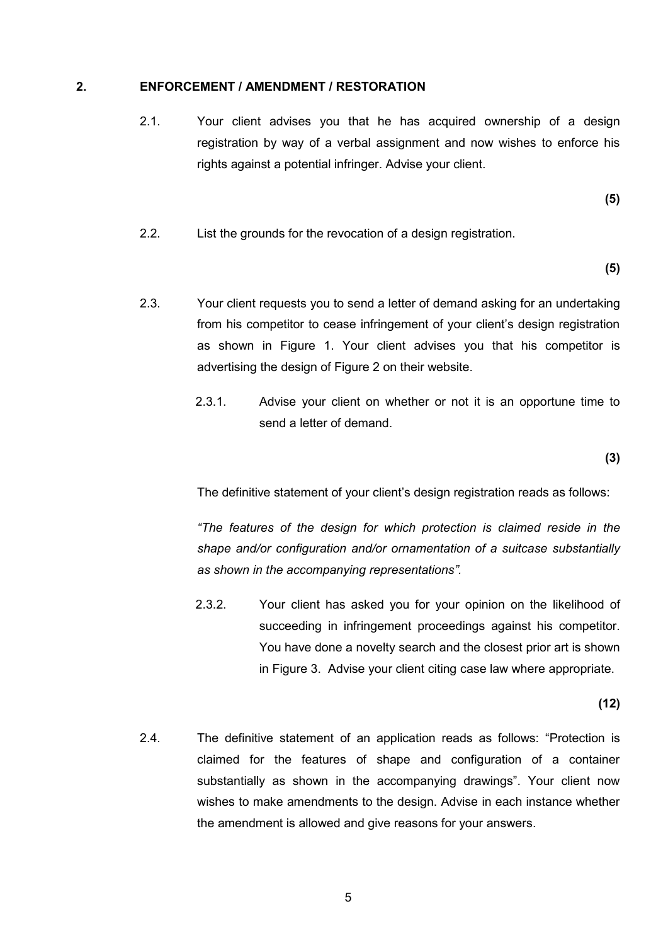#### **2. ENFORCEMENT / AMENDMENT / RESTORATION**

2.1. Your client advises you that he has acquired ownership of a design registration by way of a verbal assignment and now wishes to enforce his rights against a potential infringer. Advise your client.

**(5)** 

2.2. List the grounds for the revocation of a design registration.

**(5)**

- 2.3. Your client requests you to send a letter of demand asking for an undertaking from his competitor to cease infringement of your client's design registration as shown in Figure 1. Your client advises you that his competitor is advertising the design of Figure 2 on their website.
	- 2.3.1. Advise your client on whether or not it is an opportune time to send a letter of demand.

**(3)**

The definitive statement of your client's design registration reads as follows:

*"The features of the design for which protection is claimed reside in the shape and/or configuration and/or ornamentation of a suitcase substantially as shown in the accompanying representations".*

2.3.2. Your client has asked you for your opinion on the likelihood of succeeding in infringement proceedings against his competitor. You have done a novelty search and the closest prior art is shown in Figure 3. Advise your client citing case law where appropriate.

**(12)**

2.4. The definitive statement of an application reads as follows: "Protection is claimed for the features of shape and configuration of a container substantially as shown in the accompanying drawings". Your client now wishes to make amendments to the design. Advise in each instance whether the amendment is allowed and give reasons for your answers.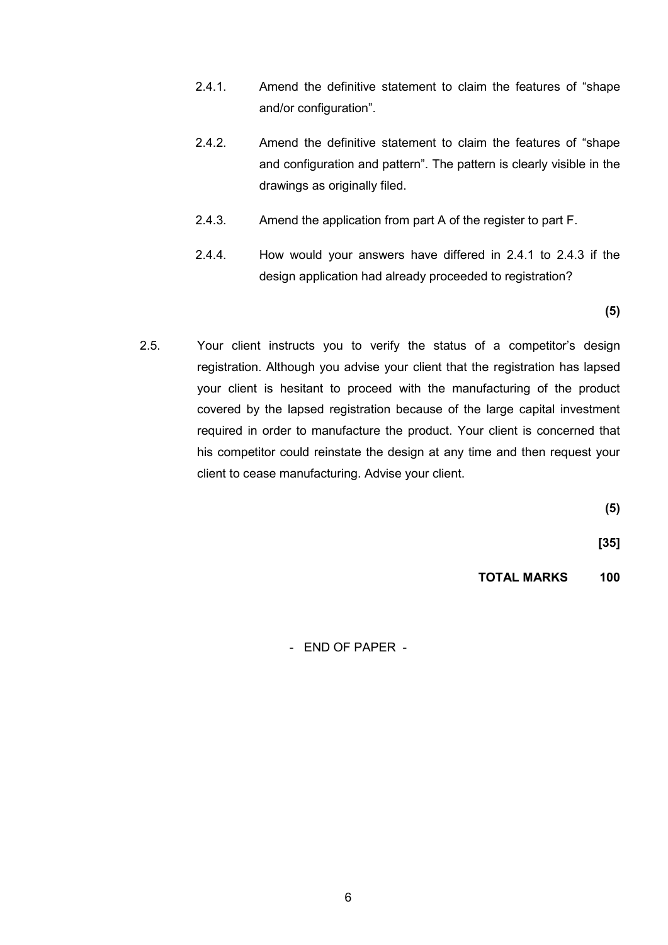- 2.4.1. Amend the definitive statement to claim the features of "shape and/or configuration".
- 2.4.2. Amend the definitive statement to claim the features of "shape and configuration and pattern". The pattern is clearly visible in the drawings as originally filed.
- 2.4.3. Amend the application from part A of the register to part F.
- 2.4.4. How would your answers have differed in 2.4.1 to 2.4.3 if the design application had already proceeded to registration?

**(5)**

2.5. Your client instructs you to verify the status of a competitor's design registration. Although you advise your client that the registration has lapsed your client is hesitant to proceed with the manufacturing of the product covered by the lapsed registration because of the large capital investment required in order to manufacture the product. Your client is concerned that his competitor could reinstate the design at any time and then request your client to cease manufacturing. Advise your client.

**(5)**

**[35]**

**TOTAL MARKS 100**

- END OF PAPER -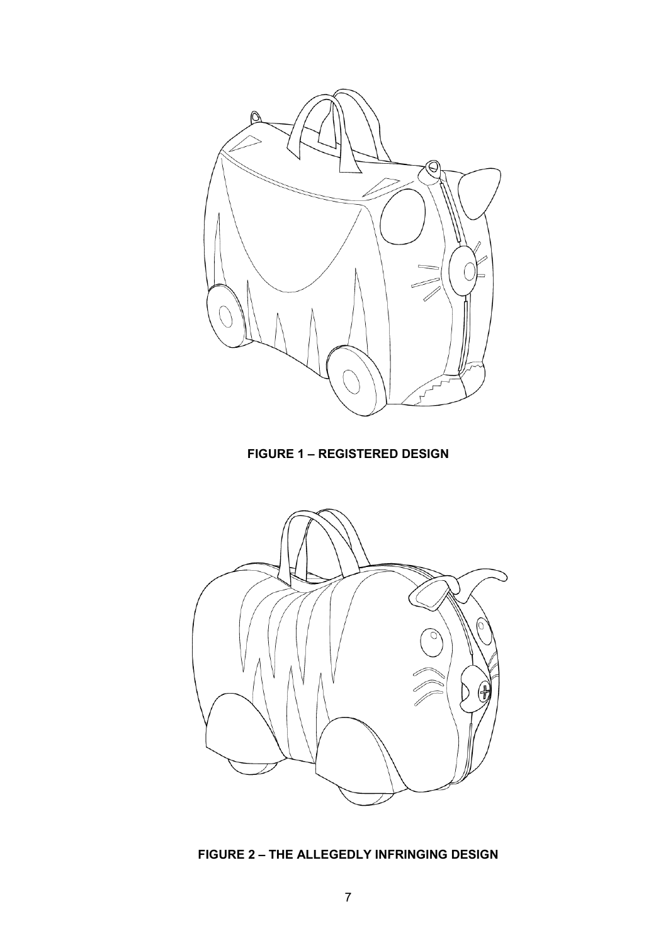

**FIGURE 1 – REGISTERED DESIGN**



**FIGURE 2 – THE ALLEGEDLY INFRINGING DESIGN**